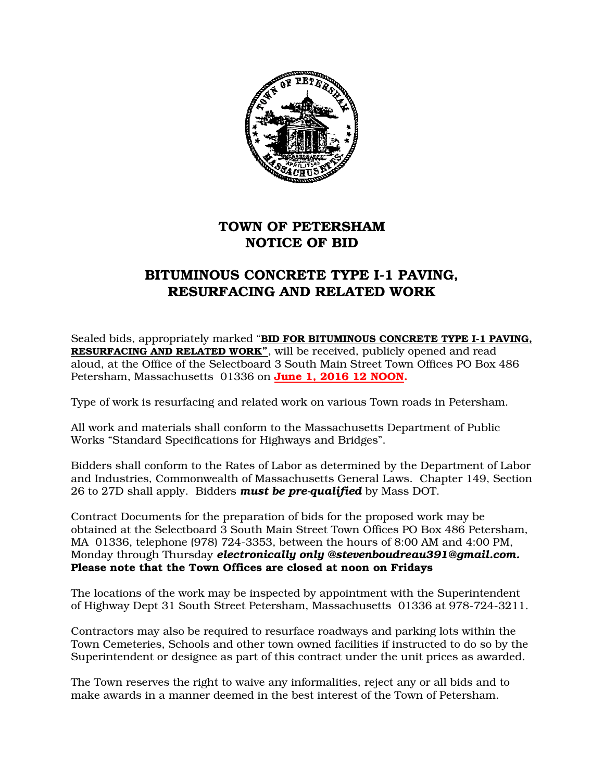

## TOWN OF PETERSHAM NOTICE OF BID

## BITUMINOUS CONCRETE TYPE I-1 PAVING, RESURFACING AND RELATED WORK

Sealed bids, appropriately marked "BID FOR BITUMINOUS CONCRETE TYPE I-1 PAVING, RESURFACING AND RELATED WORK", will be received, publicly opened and read aloud, at the Office of the Selectboard 3 South Main Street Town Offices PO Box 486 Petersham, Massachusetts 01336 on June 1, 2016 12 NOON.

Type of work is resurfacing and related work on various Town roads in Petersham.

All work and materials shall conform to the Massachusetts Department of Public Works "Standard Specifications for Highways and Bridges".

Bidders shall conform to the Rates of Labor as determined by the Department of Labor and Industries, Commonwealth of Massachusetts General Laws. Chapter 149, Section 26 to 27D shall apply. Bidders *must be pre-qualified* by Mass DOT.

Contract Documents for the preparation of bids for the proposed work may be obtained at the Selectboard 3 South Main Street Town Offices PO Box 486 Petersham, MA 01336, telephone (978) 724-3353, between the hours of 8:00 AM and 4:00 PM, Monday through Thursday *electronically only @stevenboudreau391@gmail.com.* Please note that the Town Offices are closed at noon on Fridays

The locations of the work may be inspected by appointment with the Superintendent of Highway Dept 31 South Street Petersham, Massachusetts 01336 at 978-724-3211.

Contractors may also be required to resurface roadways and parking lots within the Town Cemeteries, Schools and other town owned facilities if instructed to do so by the Superintendent or designee as part of this contract under the unit prices as awarded.

The Town reserves the right to waive any informalities, reject any or all bids and to make awards in a manner deemed in the best interest of the Town of Petersham.